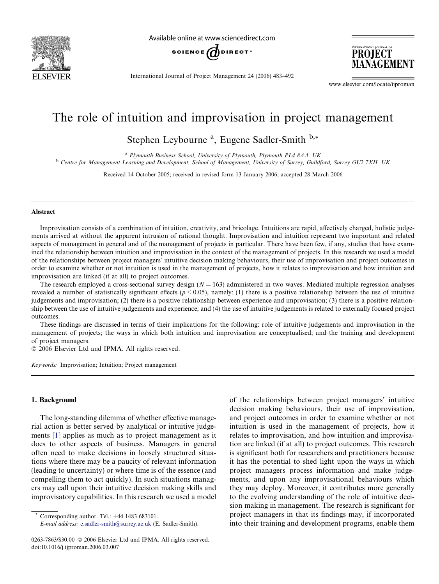

Available online at www.sciencedirect.com



International Journal of Project Management 24 (2006) 483–492

www.elsevier.com/locate/ijproman

INTERNATIONAL JOURNAL OF PROJECT MANAGEMENT

# The role of intuition and improvisation in project management

Stephen Leybourne<sup>a</sup>, Eugene Sadler-Smith<sup>b,\*</sup>

<sup>a</sup> Plymouth Business School, University of Plymouth, Plymouth PL4 8AA, UK

<sup>b</sup> Centre for Management Learning and Development, School of Management, University of Surrey, Guildford, Surrey GU2 7XH, UK

Received 14 October 2005; received in revised form 13 January 2006; accepted 28 March 2006

### Abstract

Improvisation consists of a combination of intuition, creativity, and bricolage. Intuitions are rapid, affectively charged, holistic judgements arrived at without the apparent intrusion of rational thought. Improvisation and intuition represent two important and related aspects of management in general and of the management of projects in particular. There have been few, if any, studies that have examined the relationship between intuition and improvisation in the context of the management of projects. In this research we used a model of the relationships between project managers' intuitive decision making behaviours, their use of improvisation and project outcomes in order to examine whether or not intuition is used in the management of projects, how it relates to improvisation and how intuition and improvisation are linked (if at all) to project outcomes.

The research employed a cross-sectional survey design  $(N = 163)$  administered in two waves. Mediated multiple regression analyses revealed a number of statistically significant effects ( $p < 0.05$ ), namely: (1) there is a positive relationship between the use of intuitive judgements and improvisation; (2) there is a positive relationship between experience and improvisation; (3) there is a positive relationship between the use of intuitive judgements and experience; and (4) the use of intuitive judgements is related to externally focused project outcomes.

These findings are discussed in terms of their implications for the following: role of intuitive judgements and improvisation in the management of projects; the ways in which both intuition and improvisation are conceptualised; and the training and development of project managers.

 $© 2006 Elsevier Ltd and IPMA. All rights reserved.$ 

Keywords: Improvisation; Intuition; Project management

### 1. Background

The long-standing dilemma of whether effective managerial action is better served by analytical or intuitive judgements [\[1\]](#page-8-0) applies as much as to project management as it does to other aspects of business. Managers in general often need to make decisions in loosely structured situations where there may be a paucity of relevant information (leading to uncertainty) or where time is of the essence (and compelling them to act quickly). In such situations managers may call upon their intuitive decision making skills and improvisatory capabilities. In this research we used a model

Corresponding author. Tel.:  $+44$  1483 683101.

of the relationships between project managers' intuitive decision making behaviours, their use of improvisation, and project outcomes in order to examine whether or not intuition is used in the management of projects, how it relates to improvisation, and how intuition and improvisation are linked (if at all) to project outcomes. This research is significant both for researchers and practitioners because it has the potential to shed light upon the ways in which project managers process information and make judgements, and upon any improvisational behaviours which they may deploy. Moreover, it contributes more generally to the evolving understanding of the role of intuitive decision making in management. The research is significant for project managers in that its findings may, if incorporated into their training and development programs, enable them

E-mail address: [e.sadler-smith@surrey.ac.uk](mailto:e.sadler-smith@surrey.ac.uk) (E. Sadler-Smith).

<sup>0263-7863/\$30.00 © 2006</sup> Elsevier Ltd and IPMA. All rights reserved. doi:10.1016/j.ijproman.2006.03.007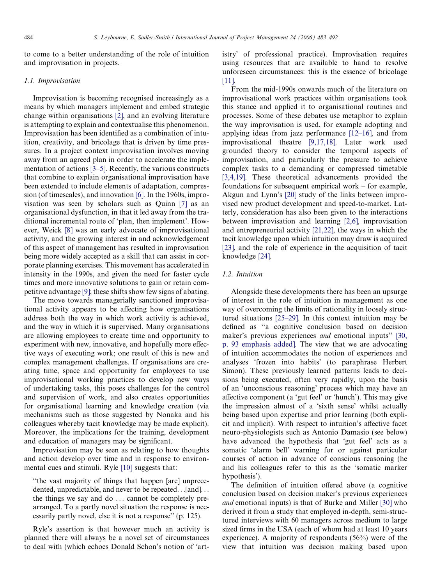to come to a better understanding of the role of intuition and improvisation in projects.

# 1.1. Improvisation

Improvisation is becoming recognised increasingly as a means by which managers implement and embed strategic change within organisations [\[2\],](#page-8-0) and an evolving literature is attempting to explain and contextualise this phenomenon. Improvisation has been identified as a combination of intuition, creativity, and bricolage that is driven by time pressures. In a project context improvisation involves moving away from an agreed plan in order to accelerate the implementation of actions [\[3–5\]](#page-8-0). Recently, the various constructs that combine to explain organisational improvisation have been extended to include elements of adaptation, compression (of timescales), and innovation [\[6\]](#page-8-0). In the 1960s, improvisation was seen by scholars such as Quinn [\[7\]](#page-8-0) as an organisational dysfunction, in that it led away from the traditional incremental route of 'plan, then implement'. However, Weick [\[8\]](#page-8-0) was an early advocate of improvisational activity, and the growing interest in and acknowledgement of this aspect of management has resulted in improvisation being more widely accepted as a skill that can assist in corporate planning exercises. This movement has accelerated in intensity in the 1990s, and given the need for faster cycle times and more innovative solutions to gain or retain competitive advantage [\[9\]](#page-8-0); these shifts show few signs of abating.

The move towards managerially sanctioned improvisational activity appears to be affecting how organisations address both the way in which work activity is achieved, and the way in which it is supervised. Many organisations are allowing employees to create time and opportunity to experiment with new, innovative, and hopefully more effective ways of executing work; one result of this is new and complex management challenges. If organisations are creating time, space and opportunity for employees to use improvisational working practices to develop new ways of undertaking tasks, this poses challenges for the control and supervision of work, and also creates opportunities for organisational learning and knowledge creation (via mechanisms such as those suggested by Nonaka and his colleagues whereby tacit knowledge may be made explicit). Moreover, the implications for the training, development and education of managers may be significant.

Improvisation may be seen as relating to how thoughts and action develop over time and in response to environmental cues and stimuli. Ryle [\[10\]](#page-8-0) suggests that:

''the vast majority of things that happen [are] unprecedented, unpredictable, and never to be repeated...[and]... the things we say and do ... cannot be completely prearranged. To a partly novel situation the response is necessarily partly novel, else it is not a response'' (p. 125).

Ryle's assertion is that however much an activity is planned there will always be a novel set of circumstances to deal with (which echoes Donald Schon's notion of 'artistry' of professional practice). Improvisation requires using resources that are available to hand to resolve unforeseen circumstances: this is the essence of bricolage [\[11\]](#page-8-0).

From the mid-1990s onwards much of the literature on improvisational work practices within organisations took this stance and applied it to organisational routines and processes. Some of these debates use metaphor to explain the way improvisation is used, for example adopting and applying ideas from jazz performance [\[12–16\]](#page-8-0), and from improvisational theatre [\[9,17,18\].](#page-8-0) Later work used grounded theory to consider the temporal aspects of improvisation, and particularly the pressure to achieve complex tasks to a demanding or compressed timetable [\[3,4,19\]](#page-8-0). These theoretical advancements provided the foundations for subsequent empirical work – for example, Akgun and Lynn's [\[20\]](#page-9-0) study of the links between improvised new product development and speed-to-market. Latterly, consideration has also been given to the interactions between improvisation and learning [\[2,6\]](#page-8-0), improvisation and entrepreneurial activity [\[21,22\]](#page-9-0), the ways in which the tacit knowledge upon which intuition may draw is acquired [\[23\]](#page-9-0), and the role of experience in the acquisition of tacit knowledge [\[24\]](#page-9-0).

### 1.2. Intuition

Alongside these developments there has been an upsurge of interest in the role of intuition in management as one way of overcoming the limits of rationality in loosely structured situations [\[25–29\]](#page-9-0). In this context intuition may be defined as ''a cognitive conclusion based on decision maker's previous experiences *and* emotional inputs'' [\[30,](#page-9-0) [p. 93 emphasis added\]](#page-9-0). The view that we are advocating of intuition accommodates the notion of experiences and analyses 'frozen into habits' (to paraphrase Herbert Simon). These previously learned patterns leads to decisions being executed, often very rapidly, upon the basis of an 'unconscious reasoning' process which may have an affective component (a 'gut feel' or 'hunch'). This may give the impression almost of a 'sixth sense' whilst actually being based upon expertise and prior learning (both explicit and implicit). With respect to intuition's affective facet neuro-physiologists such as Antonio Damasio (see below) have advanced the hypothesis that 'gut feel' acts as a somatic 'alarm bell' warning for or against particular courses of action in advance of conscious reasoning (he and his colleagues refer to this as the 'somatic marker hypothesis').

The definition of intuition offered above (a cognitive conclusion based on decision maker's previous experiences and emotional inputs) is that of Burke and Miller [\[30\]](#page-9-0) who derived it from a study that employed in-depth, semi-structured interviews with 60 managers across medium to large sized firms in the USA (each of whom had at least 10 years experience). A majority of respondents (56%) were of the view that intuition was decision making based upon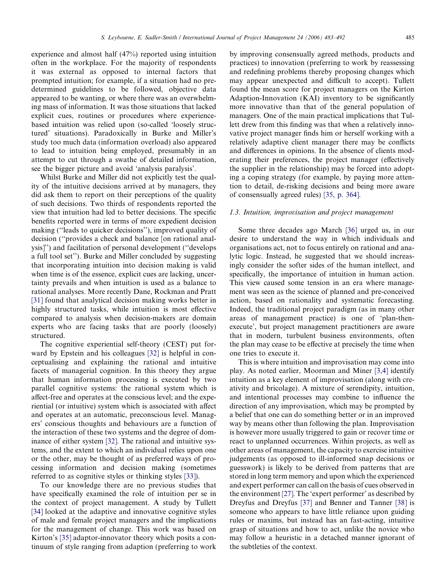experience and almost half (47%) reported using intuition often in the workplace. For the majority of respondents it was external as opposed to internal factors that prompted intuition; for example, if a situation had no predetermined guidelines to be followed, objective data appeared to be wanting, or where there was an overwhelming mass of information. It was those situations that lacked explicit cues, routines or procedures where experiencebased intuition was relied upon (so-called 'loosely structured' situations). Paradoxically in Burke and Miller's study too much data (information overload) also appeared to lead to intuition being employed, presumably in an attempt to cut through a swathe of detailed information, see the bigger picture and avoid 'analysis paralysis'.

Whilst Burke and Miller did not explicitly test the quality of the intuitive decisions arrived at by managers, they did ask them to report on their perceptions of the quality of such decisions. Two thirds of respondents reported the view that intuition had led to better decisions. The specific benefits reported were in terms of more expedient decision making (''leads to quicker decisions''), improved quality of decision (''provides a check and balance [on rational analysis]'') and facilitation of personal development (''develops a full tool set''). Burke and Miller concluded by suggesting that incorporating intuition into decision making is valid when time is of the essence, explicit cues are lacking, uncertainty prevails and when intuition is used as a balance to rational analyses. More recently Dane, Rockman and Pratt [\[31\]](#page-9-0) found that analytical decision making works better in highly structured tasks, while intuition is most effective compared to analysis when decision-makers are domain experts who are facing tasks that are poorly (loosely) structured.

The cognitive experiential self-theory (CEST) put forward by Epstein and his colleagues [\[32\]](#page-9-0) is helpful in conceptualising and explaining the rational and intuitive facets of managerial cognition. In this theory they argue that human information processing is executed by two parallel cognitive systems: the rational system which is affect-free and operates at the conscious level; and the experiential (or intuitive) system which is associated with affect and operates at an automatic, preconscious level. Managers' conscious thoughts and behaviours are a function of the interaction of these two systems and the degree of dominance of either system [\[32\].](#page-9-0) The rational and intuitive systems, and the extent to which an individual relies upon one or the other, may be thought of as preferred ways of processing information and decision making (sometimes referred to as cognitive styles or thinking styles [\[33\]](#page-9-0)).

To our knowledge there are no previous studies that have specifically examined the role of intuition per se in the context of project management. A study by Tullett [\[34\]](#page-9-0) looked at the adaptive and innovative cognitive styles of male and female project managers and the implications for the management of change. This work was based on Kirton's [\[35\]](#page-9-0) adaptor-innovator theory which posits a continuum of style ranging from adaption (preferring to work by improving consensually agreed methods, products and practices) to innovation (preferring to work by reassessing and redefining problems thereby proposing changes which may appear unexpected and difficult to accept). Tullett found the mean score for project managers on the Kirton Adaption-Innovation (KAI) inventory to be significantly more innovative than that of the general population of managers. One of the main practical implications that Tullett drew from this finding was that when a relatively innovative project manager finds him or herself working with a relatively adaptive client manager there may be conflicts and differences in opinions. In the absence of clients moderating their preferences, the project manager (effectively the supplier in the relationship) may be forced into adopting a coping strategy (for example, by paying more attention to detail, de-risking decisions and being more aware of consensually agreed rules) [\[35, p. 364\]](#page-9-0).

# 1.3. Intuition, improvisation and project management

Some three decades ago March [\[36\]](#page-9-0) urged us, in our desire to understand the way in which individuals and organisations act, not to focus entirely on rational and analytic logic. Instead, he suggested that we should increasingly consider the softer sides of the human intellect, and specifically, the importance of intuition in human action. This view caused some tension in an era where management was seen as the science of planned and pre-conceived action, based on rationality and systematic forecasting. Indeed, the traditional project paradigm (as in many other areas of management practice) is one of 'plan-thenexecute', but project management practitioners are aware that in modern, turbulent business environments, often the plan may cease to be effective at precisely the time when one tries to execute it.

This is where intuition and improvisation may come into play. As noted earlier, Moorman and Miner [\[3,4\]](#page-8-0) identify intuition as a key element of improvisation (along with creativity and bricolage). A mixture of serendipity, intuition, and intentional processes may combine to influence the direction of any improvisation, which may be prompted by a belief that one can do something better or in an improved way by means other than following the plan. Improvisation is however more usually triggered to gain or recover time or react to unplanned occurrences. Within projects, as well as other areas of management, the capacity to exercise intuitive judgements (as opposed to ill-informed snap decisions or guesswork) is likely to be derived from patterns that are stored in long term memory and upon which the experienced and expert performer can call on the basis of cues observed in the environment [\[27\].](#page-9-0) The 'expert performer' as described by Dreyfus and Dreyfus [\[37\]](#page-9-0) and Benner and Tanner [\[38\]](#page-9-0) is someone who appears to have little reliance upon guiding rules or maxims, but instead has an fast-acting, intuitive grasp of situations and how to act, unlike the novice who may follow a heuristic in a detached manner ignorant of the subtleties of the context.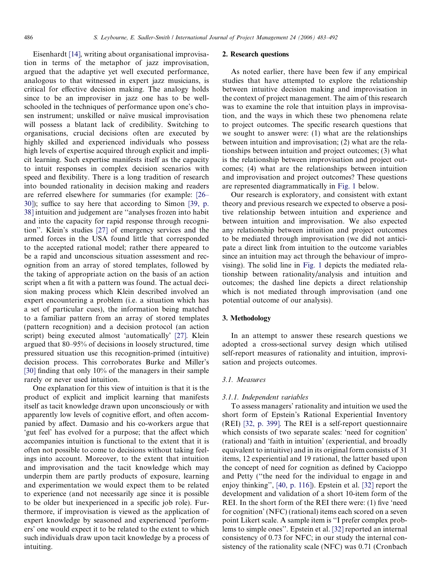Eisenhardt [\[14\],](#page-8-0) writing about organisational improvisation in terms of the metaphor of jazz improvisation, argued that the adaptive yet well executed performance, analogous to that witnessed in expert jazz musicians, is critical for effective decision making. The analogy holds since to be an improviser in jazz one has to be wellschooled in the techniques of performance upon one's chosen instrument; unskilled or naïve musical improvisation will possess a blatant lack of credibility. Switching to organisations, crucial decisions often are executed by highly skilled and experienced individuals who possess high levels of expertise acquired through explicit and implicit learning. Such expertise manifests itself as the capacity to intuit responses in complex decision scenarios with speed and flexibility. There is a long tradition of research into bounded rationality in decision making and readers are referred elsewhere for summaries (for example: [\[26–](#page-9-0) [30\]](#page-9-0)); suffice to say here that according to Simon [\[39, p.](#page-9-0) [38\]](#page-9-0) intuition and judgement are ''analyses frozen into habit and into the capacity for rapid response through recognition''. Klein's studies [\[27\]](#page-9-0) of emergency services and the armed forces in the USA found little that corresponded to the accepted rational model; rather there appeared to be a rapid and unconscious situation assessment and recognition from an array of stored templates, followed by the taking of appropriate action on the basis of an action script when a fit with a pattern was found. The actual decision making process which Klein described involved an expert encountering a problem (i.e. a situation which has a set of particular cues), the information being matched to a familiar pattern from an array of stored templates (pattern recognition) and a decision protocol (an action script) being executed almost 'automatically' [\[27\].](#page-9-0) Klein argued that 80–95% of decisions in loosely structured, time pressured situation use this recognition-primed (intuitive) decision process. This corroborates Burke and Miller's [\[30\]](#page-9-0) finding that only 10% of the managers in their sample rarely or never used intuition.

One explanation for this view of intuition is that it is the product of explicit and implicit learning that manifests itself as tacit knowledge drawn upon unconsciously or with apparently low levels of cognitive effort, and often accompanied by affect. Damasio and his co-workers argue that 'gut feel' has evolved for a purpose; that the affect which accompanies intuition is functional to the extent that it is often not possible to come to decisions without taking feelings into account. Moreover, to the extent that intuition and improvisation and the tacit knowledge which may underpin them are partly products of exposure, learning and experimentation we would expect them to be related to experience (and not necessarily age since it is possible to be older but inexperienced in a specific job role). Furthermore, if improvisation is viewed as the application of expert knowledge by seasoned and experienced 'performers' one would expect it to be related to the extent to which such individuals draw upon tacit knowledge by a process of intuiting.

# 2. Research questions

As noted earlier, there have been few if any empirical studies that have attempted to explore the relationship between intuitive decision making and improvisation in the context of project management. The aim of this research was to examine the role that intuition plays in improvisation, and the ways in which these two phenomena relate to project outcomes. The specific research questions that we sought to answer were: (1) what are the relationships between intuition and improvisation; (2) what are the relationships between intuition and project outcomes; (3) what is the relationship between improvisation and project outcomes; (4) what are the relationships between intuition and improvisation and project outcomes? These questions are represented diagrammatically in [Fig. 1](#page-4-0) below.

Our research is exploratory, and consistent with extant theory and previous research we expected to observe a positive relationship between intuition and experience and between intuition and improvisation. We also expected any relationship between intuition and project outcomes to be mediated through improvisation (we did not anticipate a direct link from intuition to the outcome variables since an intuition may act through the behaviour of improvising). The solid line in [Fig. 1](#page-4-0) depicts the mediated relationship between rationality/analysis and intuition and outcomes; the dashed line depicts a direct relationship which is not mediated through improvisation (and one potential outcome of our analysis).

# 3. Methodology

In an attempt to answer these research questions we adopted a cross-sectional survey design which utilised self-report measures of rationality and intuition, improvisation and projects outcomes.

# 3.1. Measures

### 3.1.1. Independent variables

To assess managers' rationality and intuition we used the short form of Epstein's Rational Experiential Inventory (REI) [\[32, p. 399\]](#page-9-0). The REI is a self-report questionnaire which consists of two separate scales: 'need for cognition' (rational) and 'faith in intuition' (experiential, and broadly equivalent to intuitive) and in its original form consists of 31 items, 12 experiential and 19 rational, the latter based upon the concept of need for cognition as defined by Cacioppo and Petty (''the need for the individual to engage in and enjoy thinking'', [\[40, p. 116\]\)](#page-9-0). Epstein et al. [\[32\]](#page-9-0) report the development and validation of a short 10-item form of the REI. In the short form of the REI there were: (1) five 'need for cognition' (NFC) (rational) items each scored on a seven point Likert scale. A sample item is ''I prefer complex problems to simple ones''. Epstein et al. [\[32\]](#page-9-0) reported an internal consistency of 0.73 for NFC; in our study the internal consistency of the rationality scale (NFC) was 0.71 (Cronbach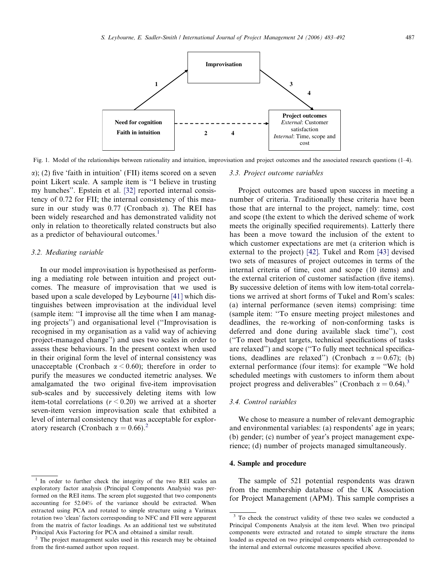<span id="page-4-0"></span>

Fig. 1. Model of the relationships between rationality and intuition, improvisation and project outcomes and the associated research questions (1–4).

 $\alpha$ ); (2) five 'faith in intuition' (FII) items scored on a seven point Likert scale. A sample item is ''I believe in trusting my hunches''. Epstein et al. [\[32\]](#page-9-0) reported internal consistency of 0.72 for FII; the internal consistency of this measure in our study was  $0.77$  (Cronbach  $\alpha$ ). The REI has been widely researched and has demonstrated validity not only in relation to theoretically related constructs but also as a predictor of behavioural outcomes.<sup>1</sup>

### 3.2. Mediating variable

In our model improvisation is hypothesised as performing a mediating role between intuition and project outcomes. The measure of improvisation that we used is based upon a scale developed by Leybourne [\[41\]](#page-9-0) which distinguishes between improvisation at the individual level (sample item: ''I improvise all the time when I am managing projects'') and organisational level (''Improvisation is recognised in my organisation as a valid way of achieving project-managed change'') and uses two scales in order to assess these behaviours. In the present context when used in their original form the level of internal consistency was unacceptable (Cronbach  $\alpha$  < 0.60); therefore in order to purify the measures we conducted itemetric analyses. We amalgamated the two original five-item improvisation sub-scales and by successively deleting items with low item-total correlations ( $r < 0.20$ ) we arrived at a shorter seven-item version improvisation scale that exhibited a level of internal consistency that was acceptable for exploratory research (Cronbach  $\alpha = 0.66$ ).<sup>2</sup>

# 3.3. Project outcome variables

Project outcomes are based upon success in meeting a number of criteria. Traditionally these criteria have been those that are internal to the project, namely: time, cost and scope (the extent to which the derived scheme of work meets the originally specified requirements). Latterly there has been a move toward the inclusion of the extent to which customer expectations are met (a criterion which is external to the project) [\[42\].](#page-9-0) Tukel and Rom [\[43\]](#page-9-0) devised two sets of measures of project outcomes in terms of the internal criteria of time, cost and scope (10 items) and the external criterion of customer satisfaction (five items). By successive deletion of items with low item-total correlations we arrived at short forms of Tukel and Rom's scales: (a) internal performance (seven items) comprising: time (sample item: ''To ensure meeting project milestones and deadlines, the re-working of non-conforming tasks is deferred and done during available slack time''), cost (''To meet budget targets, technical specifications of tasks are relaxed'') and scope (''To fully meet technical specifications, deadlines are relaxed'') (Cronbach  $\alpha = 0.67$ ); (b) external performance (four items): for example ''We hold scheduled meetings with customers to inform them about project progress and deliverables" (Cronbach  $\alpha = 0.64$ ).<sup>3</sup>

# 3.4. Control variables

We chose to measure a number of relevant demographic and environmental variables: (a) respondents' age in years; (b) gender; (c) number of year's project management experience; (d) number of projects managed simultaneously.

# 4. Sample and procedure

The sample of 521 potential respondents was drawn from the membership database of the UK Association for Project Management (APM). This sample comprises a

In order to further check the integrity of the two REI scales an exploratory factor analysis (Principal Components Analysis) was performed on the REI items. The screen plot suggested that two components accounting for 52.04% of the variance should be extracted. When extracted using PCA and rotated to simple structure using a Varimax rotation two 'clean' factors corresponding to NFC and FII were apparent from the matrix of factor loadings. As an additional test we substituted Principal Axis Factoring for PCA and obtained a similar result.

<sup>2</sup> The project management scales used in this research may be obtained from the first-named author upon request.

<sup>3</sup> To check the construct validity of these two scales we conducted a Principal Components Analysis at the item level. When two principal components were extracted and rotated to simple structure the items loaded as expected on two principal components which corresponded to the internal and external outcome measures specified above.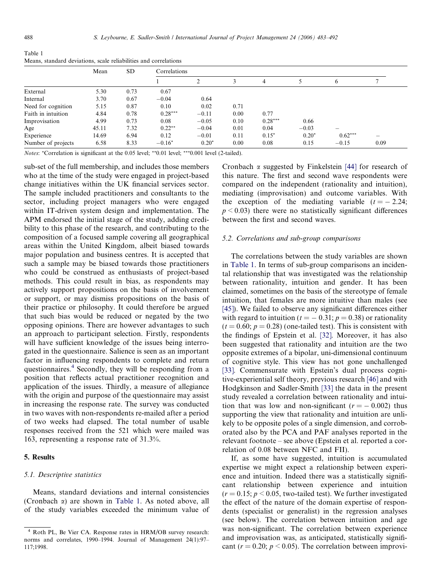| Table 1                                                          |
|------------------------------------------------------------------|
| Means, standard deviations, scale reliabilities and correlations |

|                    | Mean  | <b>SD</b> | Correlations |              |      |                |         |           |      |
|--------------------|-------|-----------|--------------|--------------|------|----------------|---------|-----------|------|
|                    |       |           |              | <sup>1</sup> |      | $\overline{4}$ |         | 6         |      |
| External           | 5.30  | 0.73      | 0.67         |              |      |                |         |           |      |
| Internal           | 3.70  | 0.67      | $-0.04$      | 0.64         |      |                |         |           |      |
| Need for cognition | 5.15  | 0.87      | 0.10         | 0.02         | 0.71 |                |         |           |      |
| Faith in intuition | 4.84  | 0.78      | $0.28***$    | $-0.11$      | 0.00 | 0.77           |         |           |      |
| Improvisation      | 4.99  | 0.73      | 0.08         | $-0.05$      | 0.10 | $0.28***$      | 0.66    |           |      |
| Age                | 45.11 | 7.32      | $0.22***$    | $-0.04$      | 0.01 | 0.04           | $-0.03$ |           |      |
| Experience         | 14.69 | 6.94      | 0.12         | $-0.01$      | 0.11 | $0.15*$        | $0.20*$ | $0.62***$ |      |
| Number of projects | 6.58  | 8.33      | $-0.16*$     | $0.20*$      | 0.00 | 0.08           | 0.15    | $-0.15$   | 0.09 |

Notes: \*Correlation is significant at the 0.05 level; \*\*0.01 level; \*\*\*0.001 level (2-tailed).

sub-set of the full membership, and includes those members who at the time of the study were engaged in project-based change initiatives within the UK financial services sector. The sample included practitioners and consultants to the sector, including project managers who were engaged within IT-driven system design and implementation. The APM endorsed the initial stage of the study, adding credibility to this phase of the research, and contributing to the composition of a focused sample covering all geographical areas within the United Kingdom, albeit biased towards major population and business centres. It is accepted that such a sample may be biased towards those practitioners who could be construed as enthusiasts of project-based methods. This could result in bias, as respondents may actively support propositions on the basis of involvement or support, or may dismiss propositions on the basis of their practice or philosophy. It could therefore be argued that such bias would be reduced or negated by the two opposing opinions. There are however advantages to such an approach to participant selection. Firstly, respondents will have sufficient knowledge of the issues being interrogated in the questionnaire. Salience is seen as an important factor in influencing respondents to complete and return questionnaires.4 Secondly, they will be responding from a position that reflects actual practitioner recognition and application of the issues. Thirdly, a measure of allegiance with the origin and purpose of the questionnaire may assist in increasing the response rate. The survey was conducted in two waves with non-respondents re-mailed after a period of two weeks had elapsed. The total number of usable responses received from the 521 which were mailed was 163, representing a response rate of 31.3%.

# 5. Results

### 5.1. Descriptive statistics

Means, standard deviations and internal consistencies (Cronbach  $\alpha$ ) are shown in Table 1. As noted above, all of the study variables exceeded the minimum value of Cronbach  $\alpha$  suggested by Finkelstein [\[44\]](#page-9-0) for research of this nature. The first and second wave respondents were compared on the independent (rationality and intuition), mediating (improvisation) and outcome variables. With the exception of the mediating variable  $(t = -2.24)$ ;  $p < 0.03$ ) there were no statistically significant differences between the first and second waves.

### 5.2. Correlations and sub-group comparisons

The correlations between the study variables are shown in Table 1. In terms of sub-group comparisons an incidental relationship that was investigated was the relationship between rationality, intuition and gender. It has been claimed, sometimes on the basis of the stereotype of female intuition, that females are more intuitive than males (see [\[45\]](#page-9-0)). We failed to observe any significant differences either with regard to intuition ( $t = -0.31$ ;  $p = 0.38$ ) or rationality  $(t = 0.60; p = 0.28)$  (one-tailed test). This is consistent with the findings of Epstein et al. [\[32\].](#page-9-0) Moreover, it has also been suggested that rationality and intuition are the two opposite extremes of a bipolar, uni-dimensional continuum of cognitive style. This view has not gone unchallenged [\[33\]](#page-9-0). Commensurate with Epstein's dual process cognitive-experiential self theory, previous research [\[46\]](#page-9-0) and with Hodgkinson and Sadler-Smith [\[33\]](#page-9-0) the data in the present study revealed a correlation between rationality and intuition that was low and non-significant  $(r = -0.002)$  thus supporting the view that rationality and intuition are unlikely to be opposite poles of a single dimension, and corroborated also by the PCA and PAF analyses reported in the relevant footnote – see above (Epstein et al. reported a correlation of 0.08 between NFC and FII).

If, as some have suggested, intuition is accumulated expertise we might expect a relationship between experience and intuition. Indeed there was a statistically significant relationship between experience and intuition  $(r = 0.15; p \le 0.05$ , two-tailed test). We further investigated the effect of the nature of the domain expertise of respondents (specialist or generalist) in the regression analyses (see below). The correlation between intuition and age was non-significant. The correlation between experience and improvisation was, as anticipated, statistically significant ( $r = 0.20$ ;  $p \le 0.05$ ). The correlation between improvi-

<sup>4</sup> Roth PL, Be Vier CA. Response rates in HRM/OB survey research: norms and correlates, 1990–1994. Journal of Management 24(1):97– 117;1998.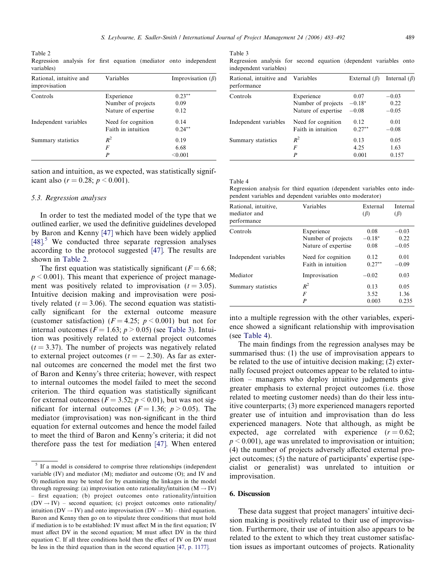Table 2 Regression analysis for first equation (mediator onto independent variables)

| Rational, intuitive and<br>improvisation | Variables                                | Improvisation $(\beta)$ |  |
|------------------------------------------|------------------------------------------|-------------------------|--|
| Controls                                 | Experience<br>Number of projects         | $0.23***$<br>0.09       |  |
|                                          | Nature of expertise.                     | 0.12                    |  |
| Independent variables                    | Need for cognition<br>Faith in intuition | 0.14<br>$0.24***$       |  |
| Summary statistics                       | $R^2$<br>F<br>P                          | 0.19<br>6.68<br>< 0.001 |  |

sation and intuition, as we expected, was statistically significant also ( $r = 0.28$ ;  $p < 0.001$ ).

# 5.3. Regression analyses

In order to test the mediated model of the type that we outlined earlier, we used the definitive guidelines developed by Baron and Kenny [\[47\]](#page-9-0) which have been widely applied [\[48\].](#page-9-0)<sup>5</sup> We conducted three separate regression analyses according to the protocol suggested [\[47\].](#page-9-0) The results are shown in Table 2.

The first equation was statistically significant ( $F = 6.68$ ;  $p \le 0.001$ ). This meant that experience of project management was positively related to improvisation ( $t = 3.05$ ). Intuitive decision making and improvisation were positively related ( $t = 3.06$ ). The second equation was statistically significant for the external outcome measure (customer satisfaction)  $(F = 4.25; p \le 0.001)$  but not for internal outcomes ( $F = 1.63$ ;  $p > 0.05$ ) (see Table 3). Intuition was positively related to external project outcomes  $(t = 3.37)$ . The number of projects was negatively related to external project outcomes ( $t = -2.30$ ). As far as external outcomes are concerned the model met the first two of Baron and Kenny's three criteria; however, with respect to internal outcomes the model failed to meet the second criterion. The third equation was statistically significant for external outcomes ( $F = 3.52$ ;  $p < 0.01$ ), but was not significant for internal outcomes ( $F = 1.36$ ;  $p > 0.05$ ). The mediator (improvisation) was non-significant in the third equation for external outcomes and hence the model failed to meet the third of Baron and Kenny's criteria; it did not therefore pass the test for mediation [\[47\]](#page-9-0). When entered

### Table 3

Regression analysis for second equation (dependent variables onto independent variables)

| Rational, intuitive and Variables<br>performance |                      | External $(\beta)$ | Internal $(\beta)$ |
|--------------------------------------------------|----------------------|--------------------|--------------------|
| Controls                                         | Experience           | 0.07               | $-0.03$            |
|                                                  | Number of projects   | $-0.18*$           | 0.22               |
|                                                  | Nature of expertise. | $-0.08$            | $-0.05$            |
| Independent variables                            | Need for cognition   | 0.12               | 0.01               |
|                                                  | Faith in intuition   | $0.27**$           | $-0.08$            |
| Summary statistics                               | $R^2$                | 0.13               | 0.05               |
|                                                  | F                    | 4.25               | 1.63               |
|                                                  | $\boldsymbol{P}$     | 0.001              | 0.157              |

#### Table 4

Regression analysis for third equation (dependent variables onto independent variables and dependent variables onto moderator)

| Rational, intuitive,<br>mediator and<br>performance | Variables            | External<br>$(\beta)$ | Internal<br>$(\beta)$ |  |
|-----------------------------------------------------|----------------------|-----------------------|-----------------------|--|
| Controls                                            | Experience           | 0.08                  | $-0.03$               |  |
|                                                     | Number of projects   | $-0.18*$              | 0.22                  |  |
|                                                     | Nature of expertise. | 0.08                  | $-0.05$               |  |
| Independent variables                               | Need for cognition   | 0.12                  | 0.01                  |  |
|                                                     | Faith in intuition   | $0.27**$              | $-0.09$               |  |
| Mediator                                            | Improvisation        | $-0.02$               | 0.03                  |  |
| Summary statistics                                  | $R^2$                | 0.13                  | 0.05                  |  |
|                                                     | F                    | 3.52                  | 1.36                  |  |
|                                                     | P                    | 0.003                 | 0.235                 |  |

into a multiple regression with the other variables, experience showed a significant relationship with improvisation (see Table 4).

The main findings from the regression analyses may be summarised thus: (1) the use of improvisation appears to be related to the use of intuitive decision making; (2) externally focused project outcomes appear to be related to intuition – managers who deploy intuitive judgements give greater emphasis to external project outcomes (i.e. those related to meeting customer needs) than do their less intuitive counterparts; (3) more experienced managers reported greater use of intuition and improvisation than do less experienced managers. Note that although, as might be expected, age correlated with experience  $(r = 0.62)$ ;  $p \leq 0.001$ , age was unrelated to improvisation or intuition; (4) the number of projects adversely affected external project outcomes; (5) the nature of participants' expertise (specialist or generalist) was unrelated to intuition or improvisation.

## 6. Discussion

These data suggest that project managers' intuitive decision making is positively related to their use of improvisation. Furthermore, their use of intuition also appears to be related to the extent to which they treat customer satisfaction issues as important outcomes of projects. Rationality

<sup>&</sup>lt;sup>5</sup> If a model is considered to comprise three relationships (independent variable (IV) and mediator (M); mediator and outcome (O); and IV and O) mediation may be tested for by examining the linkages in the model through regressing: (a) improvisation onto rationality/intuition  $(M \rightarrow IV)$ – first equation; (b) project outcomes onto rationality/intuition  $(DV \rightarrow IV)$  – second equation; (c) project outcomes onto rationality/ intuition ( $DV \rightarrow IV$ ) and onto improvisation ( $DV \rightarrow M$ ) – third equation. Baron and Kenny then go on to stipulate three conditions that must hold if mediation is to be established: IV must affect M in the first equation; IV must affect DV in the second equation; M must affect DV in the third equation C. If all three conditions hold then the effect of IV on DV must be less in the third equation than in the second equation [\[47, p. 1177\]](#page-9-0).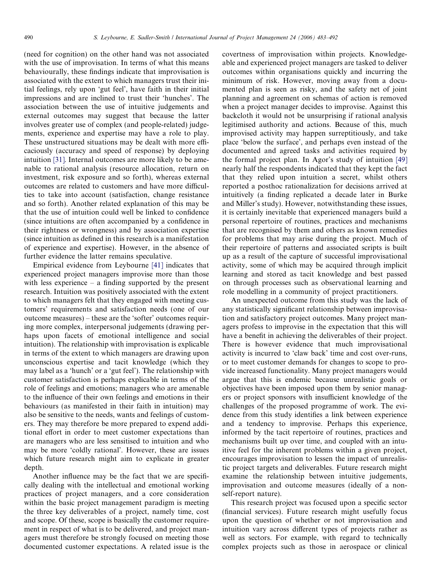(need for cognition) on the other hand was not associated with the use of improvisation. In terms of what this means behaviourally, these findings indicate that improvisation is associated with the extent to which managers trust their initial feelings, rely upon 'gut feel', have faith in their initial impressions and are inclined to trust their 'hunches'. The association between the use of intuitive judgements and external outcomes may suggest that because the latter involves greater use of complex (and people-related) judgements, experience and expertise may have a role to play. These unstructured situations may be dealt with more efficaciously (accuracy and speed of response) by deploying intuition [\[31\].](#page-9-0) Internal outcomes are more likely to be amenable to rational analysis (resource allocation, return on investment, risk exposure and so forth), whereas external outcomes are related to customers and have more difficulties to take into account (satisfaction, change resistance and so forth). Another related explanation of this may be that the use of intuition could well be linked to confidence (since intuitions are often accompanied by a confidence in their rightness or wrongness) and by association expertise (since intuition as defined in this research is a manifestation of experience and expertise). However, in the absence of further evidence the latter remains speculative.

Empirical evidence from Leybourne [\[41\]](#page-9-0) indicates that experienced project managers improvise more than those with less experience – a finding supported by the present research. Intuition was positively associated with the extent to which managers felt that they engaged with meeting customers' requirements and satisfaction needs (one of our outcome measures) – these are the 'softer' outcomes requiring more complex, interpersonal judgements (drawing perhaps upon facets of emotional intelligence and social intuition). The relationship with improvisation is explicable in terms of the extent to which managers are drawing upon unconscious expertise and tacit knowledge (which they may label as a 'hunch' or a 'gut feel'). The relationship with customer satisfaction is perhaps explicable in terms of the role of feelings and emotions; managers who are amenable to the influence of their own feelings and emotions in their behaviours (as manifested in their faith in intuition) may also be sensitive to the needs, wants and feelings of customers. They may therefore be more prepared to expend additional effort in order to meet customer expectations than are managers who are less sensitised to intuition and who may be more 'coldly rational'. However, these are issues which future research might aim to explicate in greater depth.

Another influence may be the fact that we are specifically dealing with the intellectual and emotional working practices of project managers, and a core consideration within the basic project management paradigm is meeting the three key deliverables of a project, namely time, cost and scope. Of these, scope is basically the customer requirement in respect of what is to be delivered, and project managers must therefore be strongly focused on meeting those documented customer expectations. A related issue is the

covertness of improvisation within projects. Knowledgeable and experienced project managers are tasked to deliver outcomes within organisations quickly and incurring the minimum of risk. However, moving away from a documented plan is seen as risky, and the safety net of joint planning and agreement on schemas of action is removed when a project manager decides to improvise. Against this backcloth it would not be unsurprising if rational analysis legitimised authority and actions. Because of this, much improvised activity may happen surreptitiously, and take place 'below the surface', and perhaps even instead of the documented and agreed tasks and activities required by the formal project plan. In Agor's study of intuition [\[49\]](#page-9-0) nearly half the respondents indicated that they kept the fact that they relied upon intuition a secret, whilst others reported a posthoc rationalization for decisions arrived at intuitively (a finding replicated a decade later in Burke and Miller's study). However, notwithstanding these issues, it is certainly inevitable that experienced managers build a personal repertoire of routines, practices and mechanisms that are recognised by them and others as known remedies for problems that may arise during the project. Much of their repertoire of patterns and associated scripts is built up as a result of the capture of successful improvisational activity, some of which may be acquired through implicit learning and stored as tacit knowledge and best passed on through processes such as observational learning and role modelling in a community of project practitioners.

An unexpected outcome from this study was the lack of any statistically significant relationship between improvisation and satisfactory project outcomes. Many project managers profess to improvise in the expectation that this will have a benefit in achieving the deliverables of their project. There is however evidence that much improvisational activity is incurred to 'claw back' time and cost over-runs, or to meet customer demands for changes to scope to provide increased functionality. Many project managers would argue that this is endemic because unrealistic goals or objectives have been imposed upon them by senior managers or project sponsors with insufficient knowledge of the challenges of the proposed programme of work. The evidence from this study identifies a link between experience and a tendency to improvise. Perhaps this experience, informed by the tacit repertoire of routines, practices and mechanisms built up over time, and coupled with an intuitive feel for the inherent problems within a given project, encourages improvisation to lessen the impact of unrealistic project targets and deliverables. Future research might examine the relationship between intuitive judgements, improvisation and outcome measures (ideally of a nonself-report nature).

This research project was focused upon a specific sector (financial services). Future research might usefully focus upon the question of whether or not improvisation and intuition vary across different types of projects rather as well as sectors. For example, with regard to technically complex projects such as those in aerospace or clinical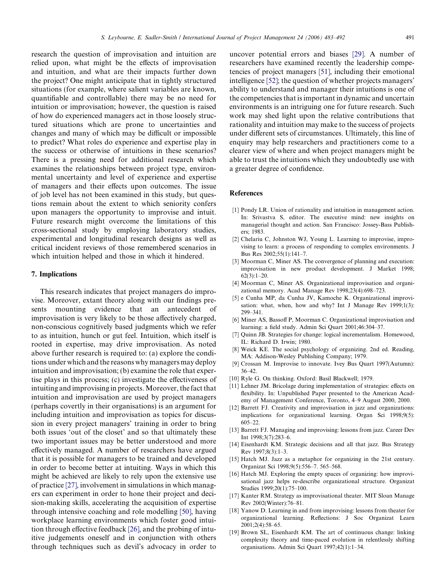<span id="page-8-0"></span>research the question of improvisation and intuition are relied upon, what might be the effects of improvisation and intuition, and what are their impacts further down the project? One might anticipate that in tightly structured situations (for example, where salient variables are known, quantifiable and controllable) there may be no need for intuition or improvisation; however, the question is raised of how do experienced managers act in those loosely structured situations which are prone to uncertainties and changes and many of which may be difficult or impossible to predict? What roles do experience and expertise play in the success or otherwise of intuitions in these scenarios? There is a pressing need for additional research which examines the relationships between project type, environmental uncertainty and level of experience and expertise of managers and their effects upon outcomes. The issue of job level has not been examined in this study, but questions remain about the extent to which seniority confers upon managers the opportunity to improvise and intuit. Future research might overcome the limitations of this cross-sectional study by employing laboratory studies, experimental and longitudinal research designs as well as critical incident reviews of those remembered scenarios in which intuition helped and those in which it hindered.

### 7. Implications

This research indicates that project managers do improvise. Moreover, extant theory along with our findings presents mounting evidence that an antecedent of improvisation is very likely to be those affectively charged, non-conscious cognitively based judgments which we refer to as intuition, hunch or gut feel. Intuition, which itself is rooted in expertise, may drive improvisation. As noted above further research is required to: (a) explore the conditions under which and the reasons why managers may deploy intuition and improvisation; (b) examine the role that expertise plays in this process; (c) investigate the effectiveness of intuiting and improvising in projects.Moreover, the fact that intuition and improvisation are used by project managers (perhaps covertly in their organisations) is an argument for including intuition and improvisation as topics for discussion in every project managers' training in order to bring both issues 'out of the closet' and so that ultimately these two important issues may be better understood and more effectively managed. A number of researchers have argued that it is possible for managers to be trained and developed in order to become better at intuiting. Ways in which this might be achieved are likely to rely upon the extensive use of practice [\[27\]](#page-9-0), involvement in simulations in which managers can experiment in order to hone their project and decision-making skills, accelerating the acquisition of expertise through intensive coaching and role modelling [\[50\]](#page-9-0), having workplace learning environments which foster good intuition through effective feedback [\[26\]](#page-9-0), and the probing of intuitive judgements oneself and in conjunction with others through techniques such as devil's advocacy in order to

uncover potential errors and biases [\[29\].](#page-9-0) A number of researchers have examined recently the leadership competencies of project managers [\[51\],](#page-9-0) including their emotional intelligence [\[52\];](#page-9-0) the question of whether projects managers' ability to understand and manager their intuitions is one of the competencies that is important in dynamic and uncertain environments is an intriguing one for future research. Such work may shed light upon the relative contributions that rationality and intuition may make to the success of projects under different sets of circumstances. Ultimately, this line of enquiry may help researchers and practitioners come to a clearer view of where and when project managers might be able to trust the intuitions which they undoubtedly use with a greater degree of confidence.

## **References**

- [1] Pondy LR. Union of rationality and intuition in management action. In: Srivastva S, editor. The executive mind: new insights on managerial thought and action. San Francisco: Jossey-Bass Publishers; 1983.
- [2] Chelariu C, Johnston WJ, Young L. Learning to improvise, improvising to learn: a process of responding to complex environments. J Bus Res 2002;55(1):141–7.
- [3] Moorman C, Miner AS. The convergence of planning and execution: improvisation in new product development. J Market 1998; 62(3):1–20.
- [4] Moorman C, Miner AS. Organizational improvisation and organizational memory. Acad Manage Rev 1998;23(4):698–723.
- [5] e Cunha MP, da Cunha JV, Kamoche K. Organizational improvisation: what, when, how and why? Int J Manage Rev 1999;1(3): 299–341.
- [6] Miner AS, Bassoff P, Moorman C. Organizational improvisation and learning: a field study. Admin Sci Quart 2001;46:304–37.
- [7] Quinn JB. Strategies for change: logical incrementalism. Homewood, IL: Richard D. Irwin; 1980.
- [8] Weick KE. The social psychology of organizing. 2nd ed. Reading, MA: Addison-Wesley Publishing Company; 1979.
- [9] Crossan M. Improvise to innovate. Ivey Bus Quart 1997(Autumn): 36–42.
- [10] Ryle G. On thinking. Oxford: Basil Blackwell; 1979.
- [11] Lehner JM. Bricolage during implementation of strategies: effects on flexibility. In: Unpublished Paper presented to the American Academy of Management Conference, Toronto, 4–9 August 2000, 2000.
- [12] Barrett FJ. Creativity and improvisation in jazz and organizations: implications for organizational learning. Organ Sci 1998;9(5): 605–22.
- [13] Barrett FJ. Managing and improvising: lessons from jazz. Career Dev Int 1998;3(7):283–6.
- [14] Eisenhardt KM. Strategic decisions and all that jazz. Bus Strategy Rev 1997;8(3):1–3.
- [15] Hatch MJ. Jazz as a metaphor for organizing in the 21st century. Organizat Sci 1998;9(5):556–7. 565–568.
- [16] Hatch MJ. Exploring the empty spaces of organizing: how improvisational jazz helps re-describe organizational structure. Organizat Studies 1999;20(1):75–100.
- [17] Kanter RM. Strategy as improvisational theater. MIT Sloan Manage Rev 2002(Winter):76–81.
- [18] Yanow D. Learning in and from improvising: lessons from theater for organizational learning. Reflections: J Soc Organizat Learn 2001;2(4):58–65.
- [19] Brown SL, Eisenhardt KM. The art of continuous change: linking complexity theory and time-paced evolution in relentlessly shifting organisations. Admin Sci Quart 1997;42(1):1–34.